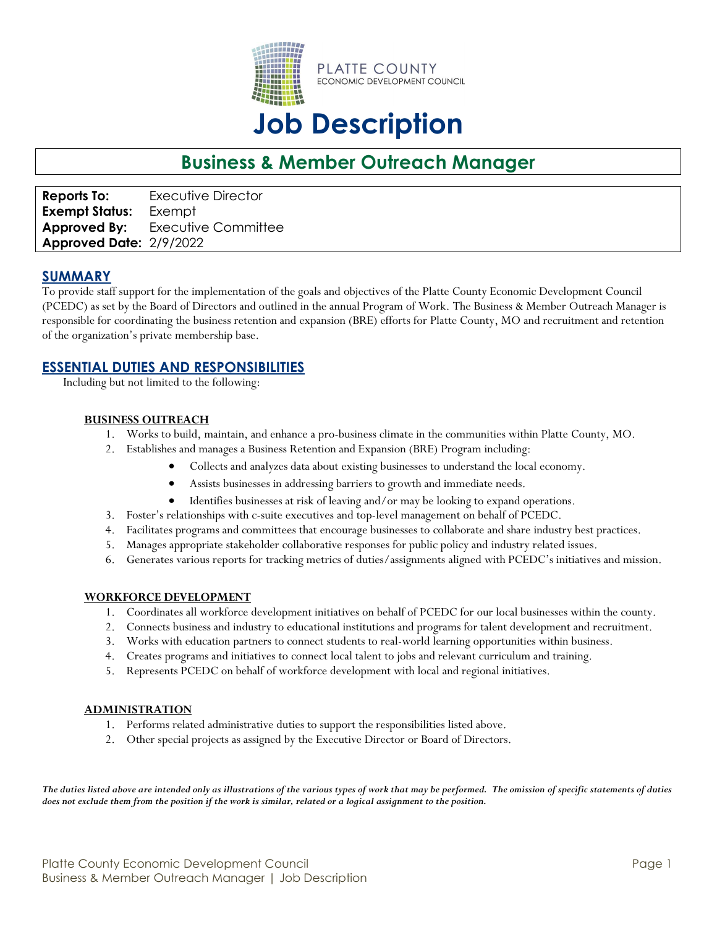

# **Job Description**

# **Business & Member Outreach Manager**

**Reports To:** Executive Director **Exempt Status:** Exempt **Approved By:** Executive Committee **Approved Date:** 2/9/2022

# **SUMMARY**

To provide staff support for the implementation of the goals and objectives of the Platte County Economic Development Council (PCEDC) as set by the Board of Directors and outlined in the annual Program of Work. The Business & Member Outreach Manager is responsible for coordinating the business retention and expansion (BRE) efforts for Platte County, MO and recruitment and retention of the organization's private membership base.

## **ESSENTIAL DUTIES AND RESPONSIBILITIES**

Including but not limited to the following:

#### **BUSINESS OUTREACH**

- 1. Works to build, maintain, and enhance a pro-business climate in the communities within Platte County, MO.
- 2. Establishes and manages a Business Retention and Expansion (BRE) Program including:
	- Collects and analyzes data about existing businesses to understand the local economy.
	- Assists businesses in addressing barriers to growth and immediate needs.
	- Identifies businesses at risk of leaving and/or may be looking to expand operations.
- 3. Foster's relationships with c-suite executives and top-level management on behalf of PCEDC.
- 4. Facilitates programs and committees that encourage businesses to collaborate and share industry best practices.
- 5. Manages appropriate stakeholder collaborative responses for public policy and industry related issues.
- 6. Generates various reports for tracking metrics of duties/assignments aligned with PCEDC's initiatives and mission.

#### **WORKFORCE DEVELOPMENT**

- 1. Coordinates all workforce development initiatives on behalf of PCEDC for our local businesses within the county.
- 2. Connects business and industry to educational institutions and programs for talent development and recruitment.
- 3. Works with education partners to connect students to real-world learning opportunities within business.
- 4. Creates programs and initiatives to connect local talent to jobs and relevant curriculum and training.
- 5. Represents PCEDC on behalf of workforce development with local and regional initiatives.

#### **ADMINISTRATION**

- 1. Performs related administrative duties to support the responsibilities listed above.
- 2. Other special projects as assigned by the Executive Director or Board of Directors.

*The duties listed above are intended only as illustrations of the various types of work that may be performed. The omission of specific statements of duties does not exclude them from the position if the work is similar, related or a logical assignment to the position.*